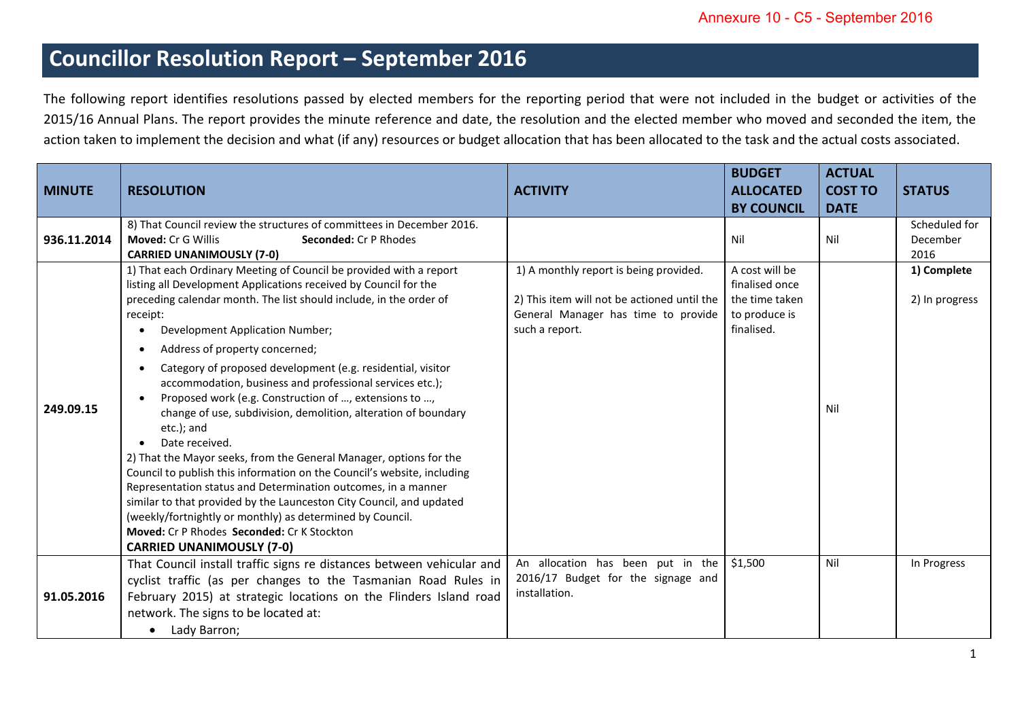## **Councillor Resolution Report – September 2016**

The following report identifies resolutions passed by elected members for the reporting period that were not included in the budget or activities of the 2015/16 Annual Plans. The report provides the minute reference and date, the resolution and the elected member who moved and seconded the item, the action taken to implement the decision and what (if any) resources or budget allocation that has been allocated to the task and the actual costs associated.

| <b>MINUTE</b> | <b>RESOLUTION</b>                                                                                                                                                                                                                                                                                                                                                                                                                                                                                                                                                                                                                                                                                                                                                                                                                                                                                                                                                                                                            | <b>ACTIVITY</b>                                                                                                                                | <b>BUDGET</b><br><b>ALLOCATED</b><br><b>BY COUNCIL</b>                            | <b>ACTUAL</b><br><b>COST TO</b><br><b>DATE</b> | <b>STATUS</b>                     |
|---------------|------------------------------------------------------------------------------------------------------------------------------------------------------------------------------------------------------------------------------------------------------------------------------------------------------------------------------------------------------------------------------------------------------------------------------------------------------------------------------------------------------------------------------------------------------------------------------------------------------------------------------------------------------------------------------------------------------------------------------------------------------------------------------------------------------------------------------------------------------------------------------------------------------------------------------------------------------------------------------------------------------------------------------|------------------------------------------------------------------------------------------------------------------------------------------------|-----------------------------------------------------------------------------------|------------------------------------------------|-----------------------------------|
| 936.11.2014   | 8) That Council review the structures of committees in December 2016.<br><b>Moved: Cr G Willis</b><br><b>Seconded: Cr P Rhodes</b><br><b>CARRIED UNANIMOUSLY (7-0)</b>                                                                                                                                                                                                                                                                                                                                                                                                                                                                                                                                                                                                                                                                                                                                                                                                                                                       |                                                                                                                                                | Nil                                                                               | Nil                                            | Scheduled for<br>December<br>2016 |
| 249.09.15     | 1) That each Ordinary Meeting of Council be provided with a report<br>listing all Development Applications received by Council for the<br>preceding calendar month. The list should include, in the order of<br>receipt:<br>Development Application Number;<br>Address of property concerned;<br>Category of proposed development (e.g. residential, visitor<br>accommodation, business and professional services etc.);<br>Proposed work (e.g. Construction of , extensions to ,<br>change of use, subdivision, demolition, alteration of boundary<br>etc.); and<br>Date received.<br>2) That the Mayor seeks, from the General Manager, options for the<br>Council to publish this information on the Council's website, including<br>Representation status and Determination outcomes, in a manner<br>similar to that provided by the Launceston City Council, and updated<br>(weekly/fortnightly or monthly) as determined by Council.<br>Moved: Cr P Rhodes Seconded: Cr K Stockton<br><b>CARRIED UNANIMOUSLY (7-0)</b> | 1) A monthly report is being provided.<br>2) This item will not be actioned until the<br>General Manager has time to provide<br>such a report. | A cost will be<br>finalised once<br>the time taken<br>to produce is<br>finalised. | Nil                                            | 1) Complete<br>2) In progress     |
| 91.05.2016    | That Council install traffic signs re distances between vehicular and<br>cyclist traffic (as per changes to the Tasmanian Road Rules in<br>February 2015) at strategic locations on the Flinders Island road<br>network. The signs to be located at:<br>Lady Barron;<br>$\bullet$                                                                                                                                                                                                                                                                                                                                                                                                                                                                                                                                                                                                                                                                                                                                            | An allocation has been put in the<br>2016/17 Budget for the signage and<br>installation.                                                       | \$1,500                                                                           | Nil                                            | In Progress                       |